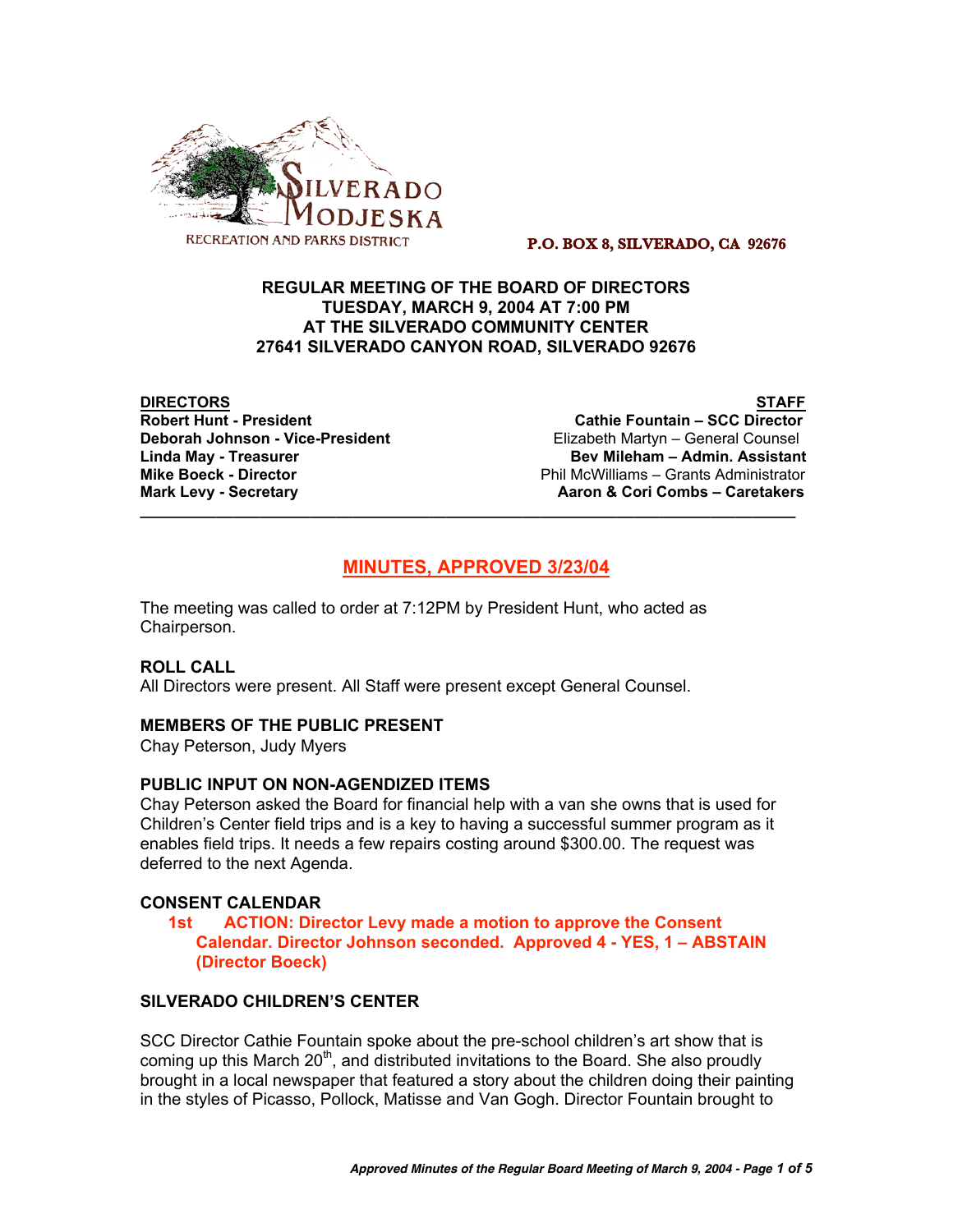

#### **P.O. BOX 8, SILVERADO, CA 92676**

# **REGULAR MEETING OF THE BOARD OF DIRECTORS TUESDAY, MARCH 9, 2004 AT 7:00 PM AT THE SILVERADO COMMUNITY CENTER 27641 SILVERADO CANYON ROAD, SILVERADO 92676**

**DIRECTORS STAFF**

**Cathie Fountain – SCC Director Deborah Johnson - Vice-President** Elizabeth Martyn – General Counsel **Linda May - Treasurer Bev Mileham – Admin. Assistant Mike Boeck - Director Phil McWilliams – Grants Administrator Phil McWilliams – Grants Administrator Mark Levy - Secretary Combs – Caretakers** Aaron & Cori Combs – Caretakers

# **MINUTES, APPROVED 3/23/04**

**\_\_\_\_\_\_\_\_\_\_\_\_\_\_\_\_\_\_\_\_\_\_\_\_\_\_\_\_\_\_\_\_\_\_\_\_\_\_\_\_\_\_\_\_\_\_\_\_\_\_\_\_\_\_\_\_\_\_\_\_\_\_\_\_\_\_\_\_\_\_\_\_\_\_\_\_\_**

The meeting was called to order at 7:12PM by President Hunt, who acted as Chairperson.

# **ROLL CALL**

All Directors were present. All Staff were present except General Counsel.

# **MEMBERS OF THE PUBLIC PRESENT**

Chay Peterson, Judy Myers

# **PUBLIC INPUT ON NON-AGENDIZED ITEMS**

Chay Peterson asked the Board for financial help with a van she owns that is used for Children's Center field trips and is a key to having a successful summer program as it enables field trips. It needs a few repairs costing around \$300.00. The request was deferred to the next Agenda.

# **CONSENT CALENDAR**

# **1st ACTION: Director Levy made a motion to approve the Consent Calendar. Director Johnson seconded. Approved 4 - YES, 1 – ABSTAIN (Director Boeck)**

# **SILVERADO CHILDREN'S CENTER**

SCC Director Cathie Fountain spoke about the pre-school children's art show that is coming up this March  $20<sup>th</sup>$ , and distributed invitations to the Board. She also proudly brought in a local newspaper that featured a story about the children doing their painting in the styles of Picasso, Pollock, Matisse and Van Gogh. Director Fountain brought to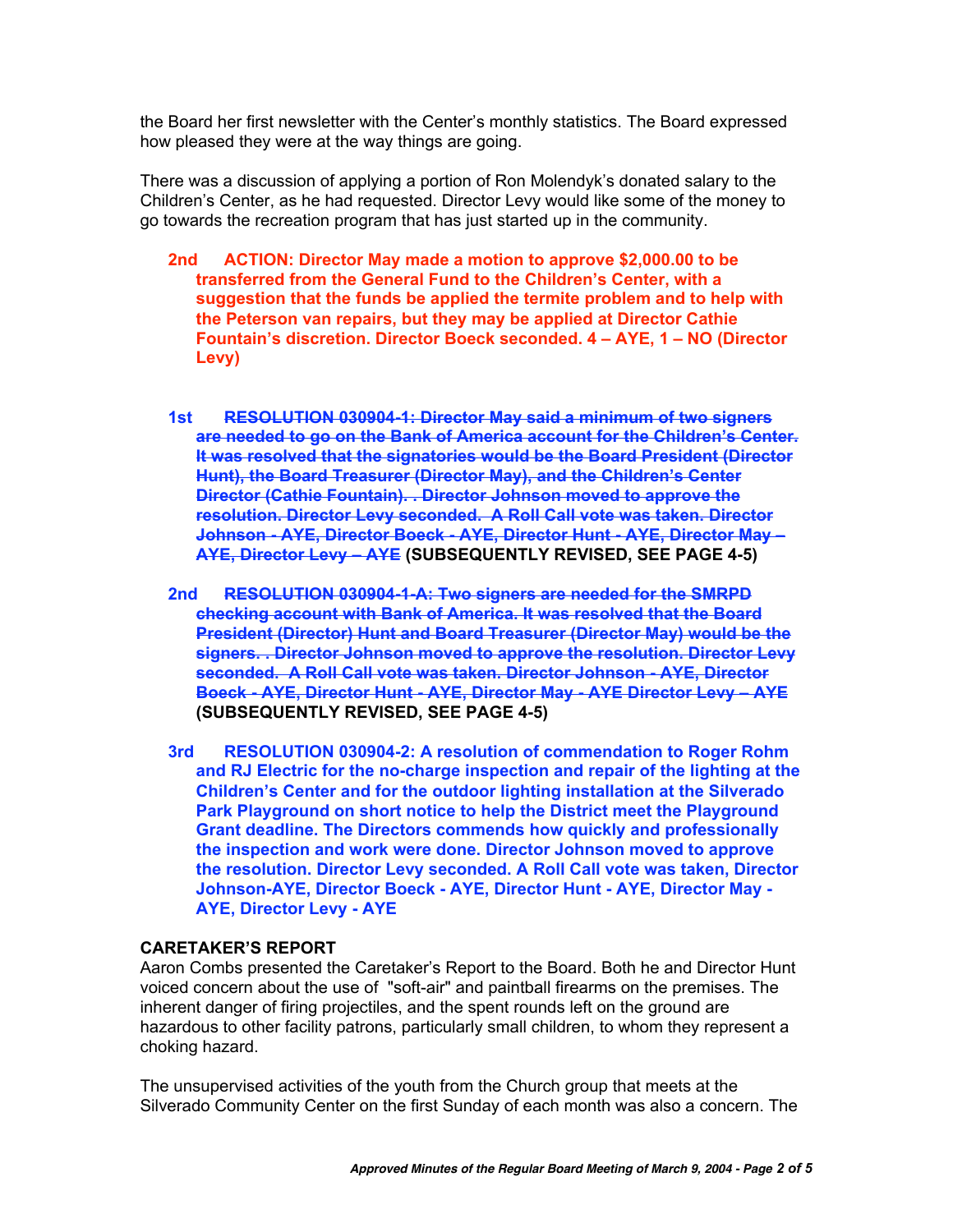the Board her first newsletter with the Center's monthly statistics. The Board expressed how pleased they were at the way things are going.

There was a discussion of applying a portion of Ron Molendyk's donated salary to the Children's Center, as he had requested. Director Levy would like some of the money to go towards the recreation program that has just started up in the community.

- **2nd ACTION: Director May made a motion to approve \$2,000.00 to be transferred from the General Fund to the Children's Center, with a suggestion that the funds be applied the termite problem and to help with the Peterson van repairs, but they may be applied at Director Cathie Fountain's discretion. Director Boeck seconded. 4 – AYE, 1 – NO (Director Levy)**
- **1st RESOLUTION 030904-1: Director May said a minimum of two signers are needed to go on the Bank of America account for the Children's Center. It was resolved that the signatories would be the Board President (Director Hunt), the Board Treasurer (Director May), and the Children's Center Director (Cathie Fountain). . Director Johnson moved to approve the resolution. Director Levy seconded. A Roll Call vote was taken. Director Johnson - AYE, Director Boeck - AYE, Director Hunt - AYE, Director May – AYE, Director Levy – AYE (SUBSEQUENTLY REVISED, SEE PAGE 4-5)**
- **2nd RESOLUTION 030904-1-A: Two signers are needed for the SMRPD checking account with Bank of America. It was resolved that the Board President (Director) Hunt and Board Treasurer (Director May) would be the signers. . Director Johnson moved to approve the resolution. Director Levy seconded. A Roll Call vote was taken. Director Johnson - AYE, Director Boeck - AYE, Director Hunt - AYE, Director May - AYE Director Levy – AYE (SUBSEQUENTLY REVISED, SEE PAGE 4-5)**
- **3rd RESOLUTION 030904-2: A resolution of commendation to Roger Rohm and RJ Electric for the no-charge inspection and repair of the lighting at the Children's Center and for the outdoor lighting installation at the Silverado Park Playground on short notice to help the District meet the Playground Grant deadline. The Directors commends how quickly and professionally the inspection and work were done. Director Johnson moved to approve the resolution. Director Levy seconded. A Roll Call vote was taken, Director Johnson-AYE, Director Boeck - AYE, Director Hunt - AYE, Director May - AYE, Director Levy - AYE**

# **CARETAKER'S REPORT**

Aaron Combs presented the Caretaker's Report to the Board. Both he and Director Hunt voiced concern about the use of "soft-air" and paintball firearms on the premises. The inherent danger of firing projectiles, and the spent rounds left on the ground are hazardous to other facility patrons, particularly small children, to whom they represent a choking hazard.

The unsupervised activities of the youth from the Church group that meets at the Silverado Community Center on the first Sunday of each month was also a concern. The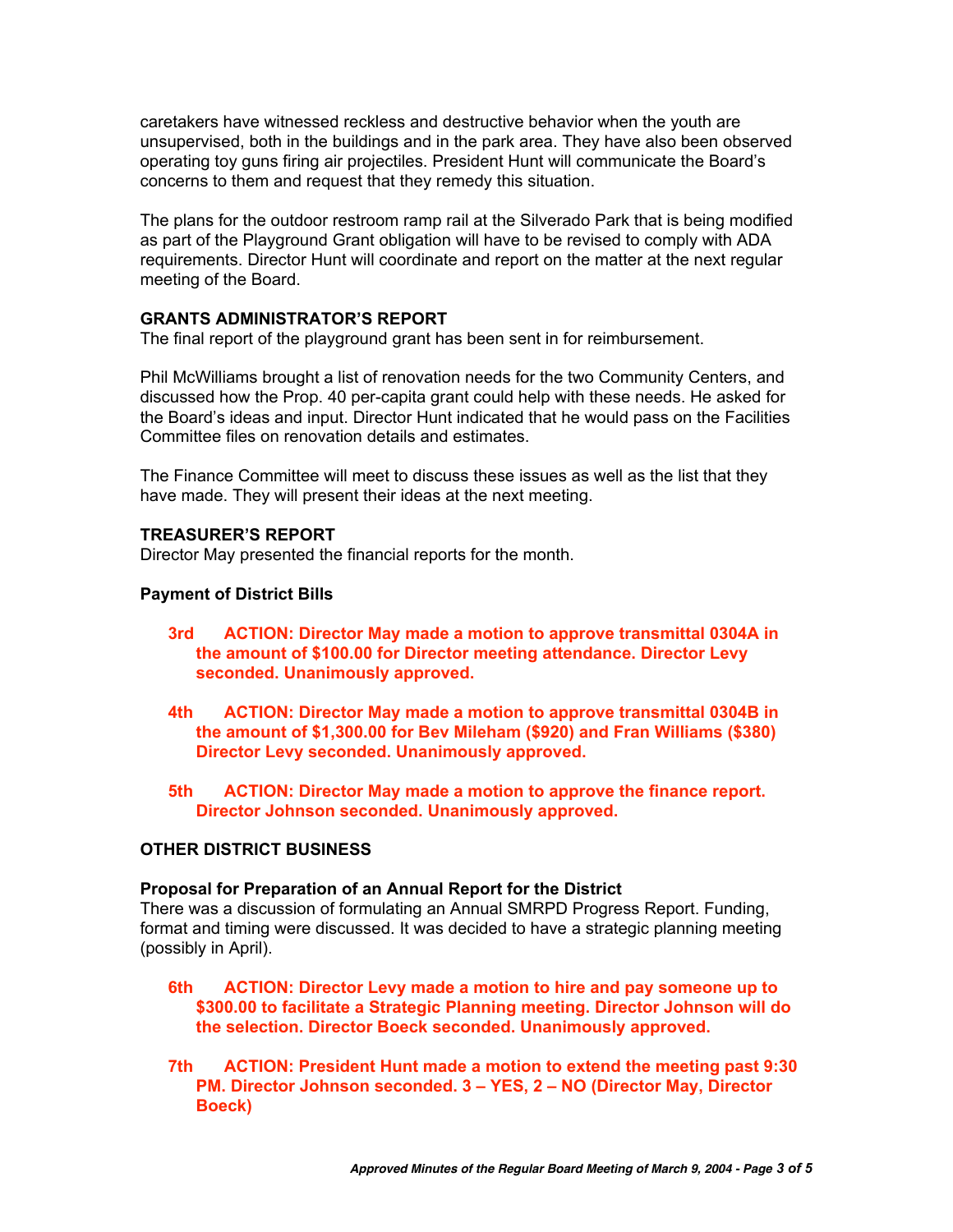caretakers have witnessed reckless and destructive behavior when the youth are unsupervised, both in the buildings and in the park area. They have also been observed operating toy guns firing air projectiles. President Hunt will communicate the Board's concerns to them and request that they remedy this situation.

The plans for the outdoor restroom ramp rail at the Silverado Park that is being modified as part of the Playground Grant obligation will have to be revised to comply with ADA requirements. Director Hunt will coordinate and report on the matter at the next regular meeting of the Board.

# **GRANTS ADMINISTRATOR'S REPORT**

The final report of the playground grant has been sent in for reimbursement.

Phil McWilliams brought a list of renovation needs for the two Community Centers, and discussed how the Prop. 40 per-capita grant could help with these needs. He asked for the Board's ideas and input. Director Hunt indicated that he would pass on the Facilities Committee files on renovation details and estimates.

The Finance Committee will meet to discuss these issues as well as the list that they have made. They will present their ideas at the next meeting.

# **TREASURER'S REPORT**

Director May presented the financial reports for the month.

# **Payment of District Bills**

- **3rd ACTION: Director May made a motion to approve transmittal 0304A in the amount of \$100.00 for Director meeting attendance. Director Levy seconded. Unanimously approved.**
- **4th ACTION: Director May made a motion to approve transmittal 0304B in the amount of \$1,300.00 for Bev Mileham (\$920) and Fran Williams (\$380) Director Levy seconded. Unanimously approved.**
- **5th ACTION: Director May made a motion to approve the finance report. Director Johnson seconded. Unanimously approved.**

# **OTHER DISTRICT BUSINESS**

# **Proposal for Preparation of an Annual Report for the District**

There was a discussion of formulating an Annual SMRPD Progress Report. Funding, format and timing were discussed. It was decided to have a strategic planning meeting (possibly in April).

- **6th ACTION: Director Levy made a motion to hire and pay someone up to \$300.00 to facilitate a Strategic Planning meeting. Director Johnson will do the selection. Director Boeck seconded. Unanimously approved.**
- **7th ACTION: President Hunt made a motion to extend the meeting past 9:30 PM. Director Johnson seconded. 3 – YES, 2 – NO (Director May, Director Boeck)**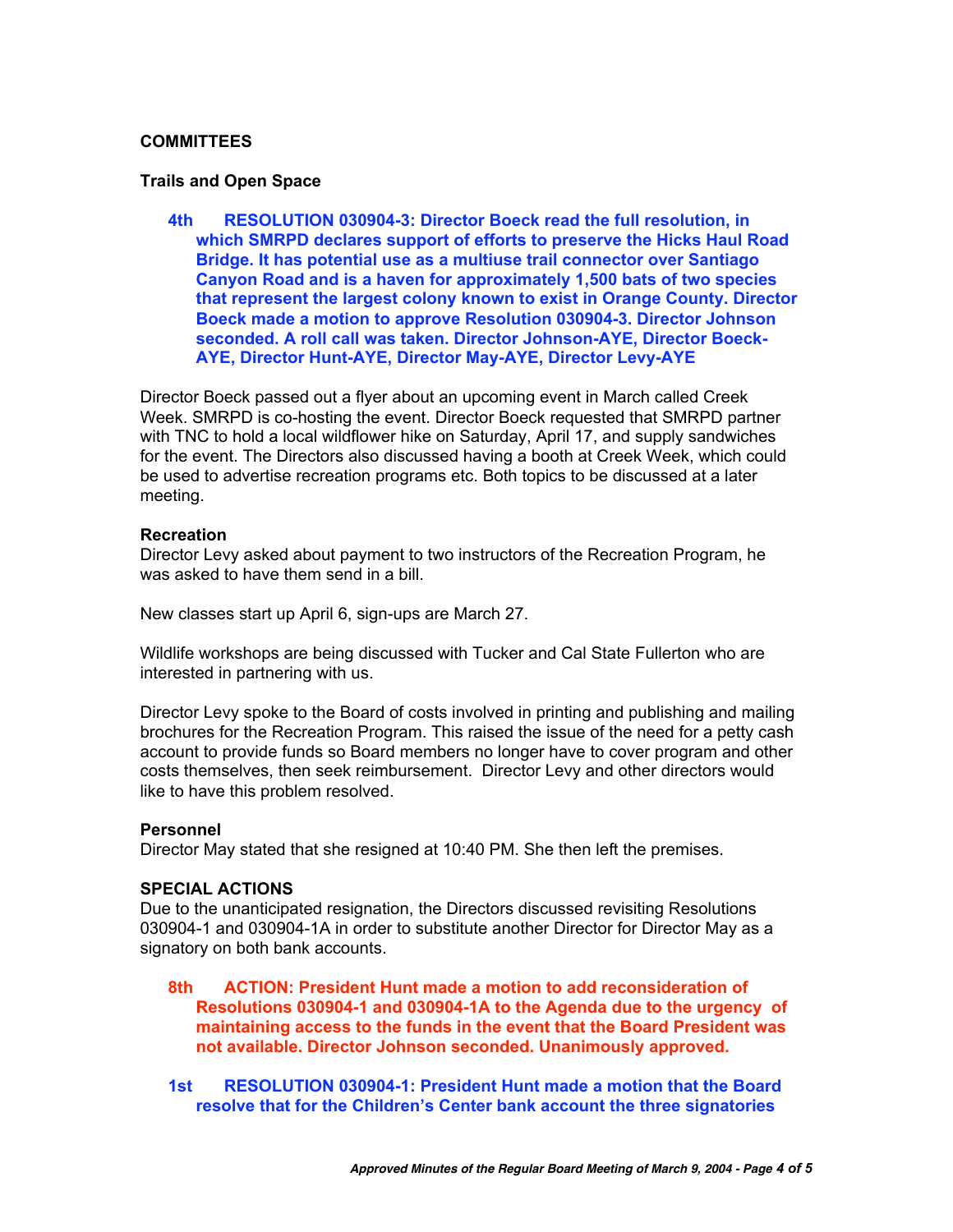# **COMMITTEES**

#### **Trails and Open Space**

**4th RESOLUTION 030904-3: Director Boeck read the full resolution, in which SMRPD declares support of efforts to preserve the Hicks Haul Road Bridge. It has potential use as a multiuse trail connector over Santiago Canyon Road and is a haven for approximately 1,500 bats of two species that represent the largest colony known to exist in Orange County. Director Boeck made a motion to approve Resolution 030904-3. Director Johnson seconded. A roll call was taken. Director Johnson-AYE, Director Boeck-AYE, Director Hunt-AYE, Director May-AYE, Director Levy-AYE**

Director Boeck passed out a flyer about an upcoming event in March called Creek Week. SMRPD is co-hosting the event. Director Boeck requested that SMRPD partner with TNC to hold a local wildflower hike on Saturday, April 17, and supply sandwiches for the event. The Directors also discussed having a booth at Creek Week, which could be used to advertise recreation programs etc. Both topics to be discussed at a later meeting.

#### **Recreation**

Director Levy asked about payment to two instructors of the Recreation Program, he was asked to have them send in a bill.

New classes start up April 6, sign-ups are March 27.

Wildlife workshops are being discussed with Tucker and Cal State Fullerton who are interested in partnering with us.

Director Levy spoke to the Board of costs involved in printing and publishing and mailing brochures for the Recreation Program. This raised the issue of the need for a petty cash account to provide funds so Board members no longer have to cover program and other costs themselves, then seek reimbursement. Director Levy and other directors would like to have this problem resolved.

# **Personnel**

Director May stated that she resigned at 10:40 PM. She then left the premises.

#### **SPECIAL ACTIONS**

Due to the unanticipated resignation, the Directors discussed revisiting Resolutions 030904-1 and 030904-1A in order to substitute another Director for Director May as a signatory on both bank accounts.

- **8th ACTION: President Hunt made a motion to add reconsideration of Resolutions 030904-1 and 030904-1A to the Agenda due to the urgency of maintaining access to the funds in the event that the Board President was not available. Director Johnson seconded. Unanimously approved.**
- **1st RESOLUTION 030904-1: President Hunt made a motion that the Board resolve that for the Children's Center bank account the three signatories**